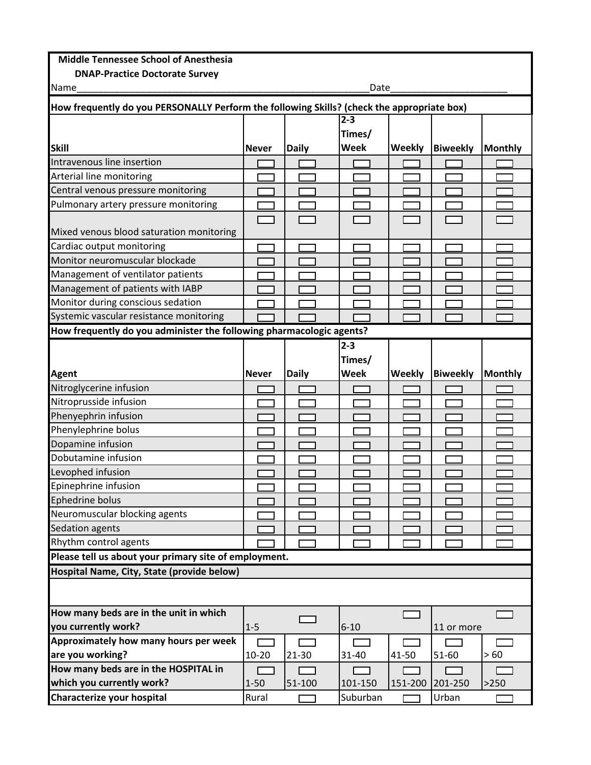## **Middle Tennessee School of Anesthesia**

| <b>DNAP-Practice Doctorate Survey</b>                                                                                                                                    |              |              |             |               |                 |                |  |
|--------------------------------------------------------------------------------------------------------------------------------------------------------------------------|--------------|--------------|-------------|---------------|-----------------|----------------|--|
| Name<br>Date                                                                                                                                                             |              |              |             |               |                 |                |  |
| How frequently do you PERSONALLY Perform the following Skills? (check the appropriate box)                                                                               |              |              |             |               |                 |                |  |
|                                                                                                                                                                          |              |              | $2 - 3$     |               |                 |                |  |
|                                                                                                                                                                          |              |              | Times/      |               |                 |                |  |
| <b>Skill</b>                                                                                                                                                             | <b>Never</b> | <b>Daily</b> | <b>Week</b> | <b>Weekly</b> | <b>Biweekly</b> | <b>Monthly</b> |  |
| Intravenous line insertion                                                                                                                                               |              |              |             |               |                 |                |  |
| Arterial line monitoring                                                                                                                                                 |              |              |             |               |                 |                |  |
| Central venous pressure monitoring                                                                                                                                       |              |              |             |               |                 |                |  |
| Pulmonary artery pressure monitoring                                                                                                                                     |              |              |             |               |                 |                |  |
|                                                                                                                                                                          |              |              |             |               |                 |                |  |
| Mixed venous blood saturation monitoring                                                                                                                                 |              |              |             |               |                 |                |  |
| Cardiac output monitoring                                                                                                                                                |              |              |             |               |                 |                |  |
| Monitor neuromuscular blockade                                                                                                                                           |              |              |             |               |                 |                |  |
| Management of ventilator patients                                                                                                                                        |              |              |             |               |                 |                |  |
| Management of patients with IABP                                                                                                                                         |              |              |             |               |                 |                |  |
| Monitor during conscious sedation                                                                                                                                        |              |              |             |               |                 |                |  |
| Systemic vascular resistance monitoring                                                                                                                                  |              |              |             |               |                 |                |  |
| How frequently do you administer the following pharmacologic agents?                                                                                                     |              |              |             |               |                 |                |  |
|                                                                                                                                                                          |              |              | $2 - 3$     |               |                 |                |  |
|                                                                                                                                                                          |              |              | Times/      |               |                 |                |  |
| <b>Agent</b>                                                                                                                                                             | <b>Never</b> | <b>Daily</b> | <b>Week</b> | <b>Weekly</b> | <b>Biweekly</b> | <b>Monthly</b> |  |
| Nitroglycerine infusion                                                                                                                                                  |              |              |             |               |                 |                |  |
| Nitroprusside infusion                                                                                                                                                   |              |              |             |               |                 |                |  |
| Phenyephrin infusion                                                                                                                                                     |              |              |             |               |                 |                |  |
| Phenylephrine bolus                                                                                                                                                      |              |              |             |               |                 |                |  |
| Dopamine infusion                                                                                                                                                        |              |              |             |               |                 |                |  |
| Dobutamine infusion                                                                                                                                                      |              |              |             |               |                 |                |  |
| Levophed infusion                                                                                                                                                        |              |              |             |               |                 |                |  |
| Epinephrine infusion                                                                                                                                                     |              |              |             |               |                 |                |  |
| Ephedrine bolus                                                                                                                                                          |              |              |             |               |                 |                |  |
| Neuromuscular blocking agents                                                                                                                                            |              |              |             |               |                 |                |  |
| Sedation agents                                                                                                                                                          |              |              |             |               |                 |                |  |
|                                                                                                                                                                          |              |              |             |               |                 |                |  |
| Rhythm control agents                                                                                                                                                    |              |              |             |               |                 |                |  |
| Please tell us about your primary site of employment.                                                                                                                    |              |              |             |               |                 |                |  |
|                                                                                                                                                                          |              |              |             |               |                 |                |  |
|                                                                                                                                                                          |              |              |             |               |                 |                |  |
|                                                                                                                                                                          |              |              |             |               |                 |                |  |
|                                                                                                                                                                          |              |              |             |               |                 |                |  |
|                                                                                                                                                                          | $1 - 5$      |              | $6 - 10$    |               | 11 or more      |                |  |
|                                                                                                                                                                          |              |              |             |               |                 |                |  |
| Hospital Name, City, State (provide below)<br>How many beds are in the unit in which<br>you currently work?<br>Approximately how many hours per week<br>are you working? | $10 - 20$    | $21 - 30$    | 31-40       | 41-50         | 51-60           | >60            |  |
| How many beds are in the HOSPITAL in                                                                                                                                     |              |              |             |               |                 |                |  |
|                                                                                                                                                                          |              |              |             |               |                 |                |  |
| which you currently work?                                                                                                                                                | $1 - 50$     | 51-100       | 101-150     | 151-200       | 201-250         | >250           |  |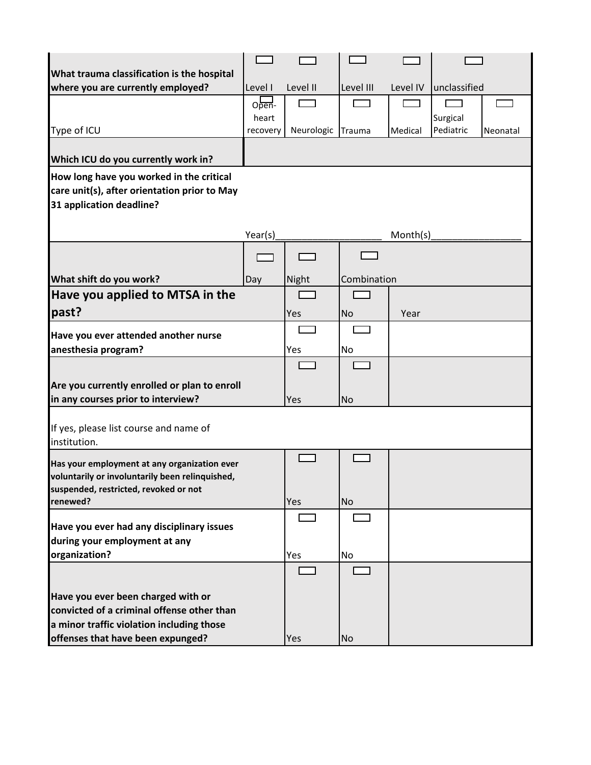| What trauma classification is the hospital        |          |            |             |          |                       |
|---------------------------------------------------|----------|------------|-------------|----------|-----------------------|
| where you are currently employed?                 | Level I  | Level II   | Level III   | Level IV | unclassified          |
|                                                   | Open-    |            |             |          |                       |
|                                                   | heart    |            |             |          | Surgical              |
| Type of ICU                                       | recovery | Neurologic | Trauma      | Medical  | Pediatric<br>Neonatal |
|                                                   |          |            |             |          |                       |
| Which ICU do you currently work in?               |          |            |             |          |                       |
| How long have you worked in the critical          |          |            |             |          |                       |
| care unit(s), after orientation prior to May      |          |            |             |          |                       |
| 31 application deadline?                          |          |            |             |          |                       |
|                                                   |          |            |             |          |                       |
|                                                   | Year(s)  |            |             | Month(s) |                       |
|                                                   |          |            |             |          |                       |
| What shift do you work?                           | Day      | Night      | Combination |          |                       |
| Have you applied to MTSA in the                   |          |            |             |          |                       |
| past?                                             |          | Yes        | <b>No</b>   | Year     |                       |
|                                                   |          |            |             |          |                       |
| Have you ever attended another nurse              |          |            |             |          |                       |
| anesthesia program?                               |          | Yes        | No          |          |                       |
|                                                   |          |            |             |          |                       |
| Are you currently enrolled or plan to enroll      |          |            |             |          |                       |
| in any courses prior to interview?                |          | Yes        | <b>No</b>   |          |                       |
|                                                   |          |            |             |          |                       |
| If yes, please list course and name of            |          |            |             |          |                       |
| institution.                                      |          |            |             |          |                       |
| Has your employment at any organization ever      |          |            |             |          |                       |
| voluntarily or involuntarily been relinquished,   |          |            |             |          |                       |
| suspended, restricted, revoked or not<br>renewed? |          | Yes        | <b>No</b>   |          |                       |
|                                                   |          |            |             |          |                       |
| Have you ever had any disciplinary issues         |          |            |             |          |                       |
| during your employment at any                     |          |            |             |          |                       |
| organization?                                     |          | Yes        | No          |          |                       |
|                                                   |          |            |             |          |                       |
| Have you ever been charged with or                |          |            |             |          |                       |
| convicted of a criminal offense other than        |          |            |             |          |                       |
| a minor traffic violation including those         |          |            |             |          |                       |
| offenses that have been expunged?                 |          | Yes        | <b>No</b>   |          |                       |